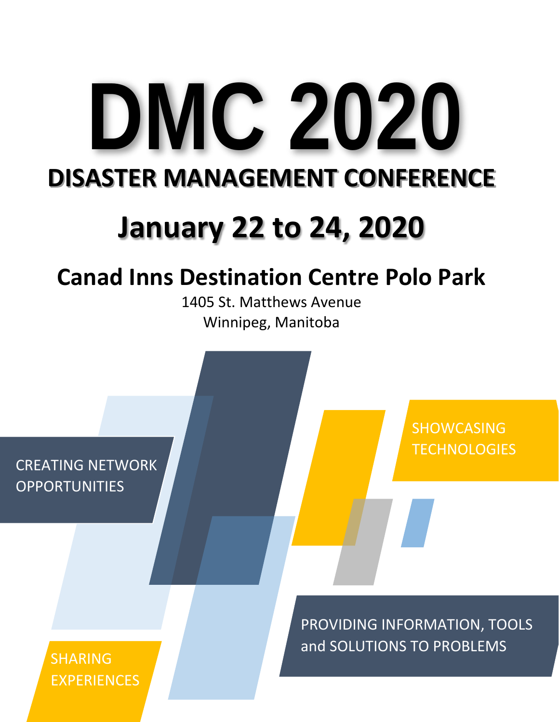# **DMC 2020 DISASTER MANAGEMENT CONFERENCE**

# **January 22 to 24, 2020**

# **Canad Inns Destination Centre Polo Park**

1405 St. Matthews Avenue Winnipeg, Manitoba

CREATING NETWORK **OPPORTUNITIES** 

> SHARING EXPERIENCES

PROVIDING INFORMATION, TOOLS and SOLUTIONS TO PROBLEMS

SHOWCASING

**TECHNOLOGIES**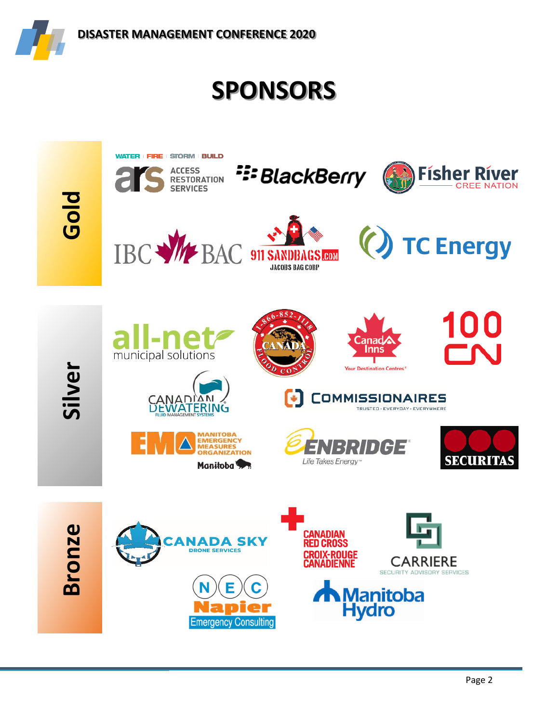

# **SPONSORS**

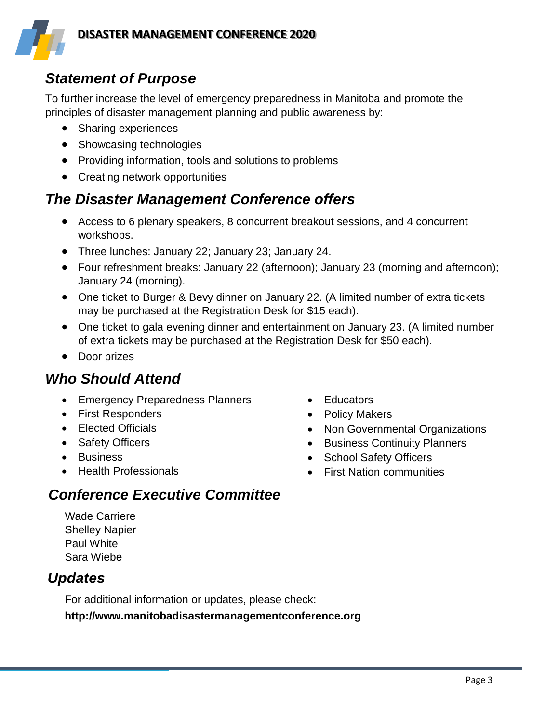

# *Statement of Purpose*

To further increase the level of emergency preparedness in Manitoba and promote the principles of disaster management planning and public awareness by:

- Sharing experiences
- Showcasing technologies
- Providing information, tools and solutions to problems
- Creating network opportunities

# *The Disaster Management Conference offers*

- Access to 6 plenary speakers, 8 concurrent breakout sessions, and 4 concurrent workshops.
- Three lunches: January 22; January 23; January 24.
- Four refreshment breaks: January 22 (afternoon); January 23 (morning and afternoon); January 24 (morning).
- One ticket to Burger & Bevy dinner on January 22. (A limited number of extra tickets may be purchased at the Registration Desk for \$15 each).
- One ticket to gala evening dinner and entertainment on January 23. (A limited number of extra tickets may be purchased at the Registration Desk for \$50 each).
- Door prizes

# *Who Should Attend*

- Emergency Preparedness Planners
- First Responders
- Elected Officials
- Safety Officers
- Business
- Health Professionals
- Educators
- Policy Makers
- Non Governmental Organizations
- Business Continuity Planners
- School Safety Officers
- First Nation communities

# *Conference Executive Committee*

Wade Carriere Shelley Napier Paul White Sara Wiebe

# *Updates*

For additional information or updates, please check:

**http://www.manitobadisastermanagementconference.org**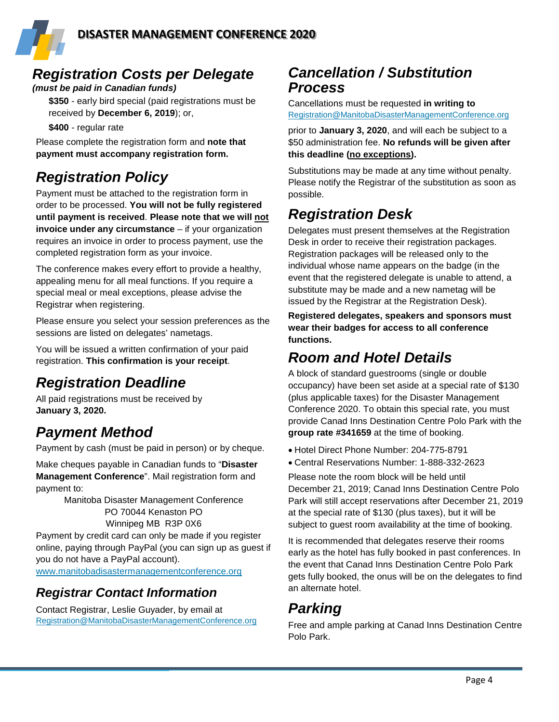# *Registration Costs per Delegate*

#### *(must be paid in Canadian funds)*

**\$350** - early bird special (paid registrations must be received by **December 6, 2019**); or,

**\$400** - regular rate

Please complete the registration form and **note that payment must accompany registration form.**

# *Registration Policy*

Payment must be attached to the registration form in order to be processed. **You will not be fully registered until payment is received**. **Please note that we will not invoice under any circumstance** – if your organization requires an invoice in order to process payment, use the completed registration form as your invoice.

The conference makes every effort to provide a healthy, appealing menu for all meal functions. If you require a special meal or meal exceptions, please advise the Registrar when registering.

Please ensure you select your session preferences as the sessions are listed on delegates' nametags.

You will be issued a written confirmation of your paid registration. **This confirmation is your receipt**.

# *Registration Deadline*

All paid registrations must be received by **January 3, 2020.**

# *Payment Method*

Payment by cash (must be paid in person) or by cheque.

Make cheques payable in Canadian funds to "**Disaster Management Conference**". Mail registration form and payment to:

> Manitoba Disaster Management Conference PO 70044 Kenaston PO Winnipeg MB R3P 0X6

Payment by credit card can only be made if you register online, paying through PayPal (you can sign up as guest if you do not have a PayPal account).

[www.manitobadisastermanagementconference.org](http://www.manitobadisastermanagementconference.org/)

### *Registrar Contact Information*

Contact Registrar, Leslie Guyader, by email at [Registration@ManitobaDisasterManagementConference.org](mailto:Registration@ManitobaDisasterManagementConference.org)

## *Cancellation / Substitution Process*

Cancellations must be requested **in writing to**  [Registration@ManitobaDisasterManagementConference.org](mailto:Registration@ManitobaDisasterManagementConference.org)

prior to **January 3, 2020**, and will each be subject to a \$50 administration fee. **No refunds will be given after this deadline (no exceptions).**

Substitutions may be made at any time without penalty. Please notify the Registrar of the substitution as soon as possible.

# *Registration Desk*

Delegates must present themselves at the Registration Desk in order to receive their registration packages. Registration packages will be released only to the individual whose name appears on the badge (in the event that the registered delegate is unable to attend, a substitute may be made and a new nametag will be issued by the Registrar at the Registration Desk).

**Registered delegates, speakers and sponsors must wear their badges for access to all conference functions.**

# *Room and Hotel Details*

A block of standard guestrooms (single or double occupancy) have been set aside at a special rate of \$130 (plus applicable taxes) for the Disaster Management Conference 2020. To obtain this special rate, you must provide Canad Inns Destination Centre Polo Park with the **group rate #341659** at the time of booking.

- Hotel Direct Phone Number: 204-775-8791
- Central Reservations Number: 1-888-332-2623

Please note the room block will be held until December 21, 2019; Canad Inns Destination Centre Polo Park will still accept reservations after December 21, 2019 at the special rate of \$130 (plus taxes), but it will be subject to guest room availability at the time of booking.

It is recommended that delegates reserve their rooms early as the hotel has fully booked in past conferences. In the event that Canad Inns Destination Centre Polo Park gets fully booked, the onus will be on the delegates to find an alternate hotel.

# *Parking*

Free and ample parking at Canad Inns Destination Centre Polo Park.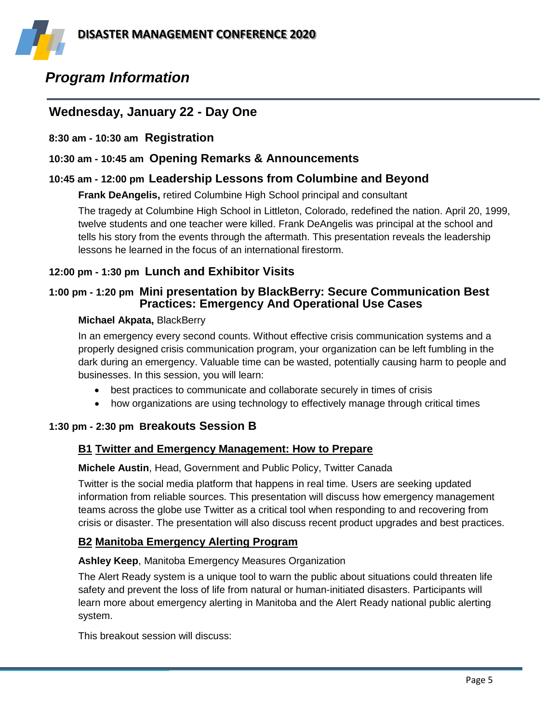

# *Program Information*

#### **Wednesday, January 22 - Day One**

**8:30 am - 10:30 am Registration**

#### **10:30 am - 10:45 am Opening Remarks & Announcements**

#### **10:45 am - 12:00 pm Leadership Lessons from Columbine and Beyond**

**Frank DeAngelis,** retired Columbine High School principal and consultant

The tragedy at Columbine High School in Littleton, Colorado, redefined the nation. April 20, 1999, twelve students and one teacher were killed. Frank DeAngelis was principal at the school and tells his story from the events through the aftermath. This presentation reveals the leadership lessons he learned in the focus of an international firestorm.

#### **12:00 pm - 1:30 pm Lunch and Exhibitor Visits**

#### **1:00 pm - 1:20 pm Mini presentation by BlackBerry: Secure Communication Best Practices: Emergency And Operational Use Cases**

#### **Michael Akpata,** BlackBerry

In an emergency every second counts. Without effective crisis communication systems and a properly designed crisis communication program, your organization can be left fumbling in the dark during an emergency. Valuable time can be wasted, potentially causing harm to people and businesses. In this session, you will learn:

- best practices to communicate and collaborate securely in times of crisis
- how organizations are using technology to effectively manage through critical times

#### **1:30 pm - 2:30 pm Breakouts Session B**

#### **B1 Twitter and Emergency Management: How to Prepare**

#### **Michele Austin**, Head, Government and Public Policy, Twitter Canada

Twitter is the social media platform that happens in real time. Users are seeking updated information from reliable sources. This presentation will discuss how emergency management teams across the globe use Twitter as a critical tool when responding to and recovering from crisis or disaster. The presentation will also discuss recent product upgrades and best practices.

#### **B2 Manitoba Emergency Alerting Program**

#### **Ashley Keep**, Manitoba Emergency Measures Organization

The Alert Ready system is a unique tool to warn the public about situations could threaten life safety and prevent the loss of life from natural or human-initiated disasters. Participants will learn more about emergency alerting in Manitoba and the Alert Ready national public alerting system.

This breakout session will discuss: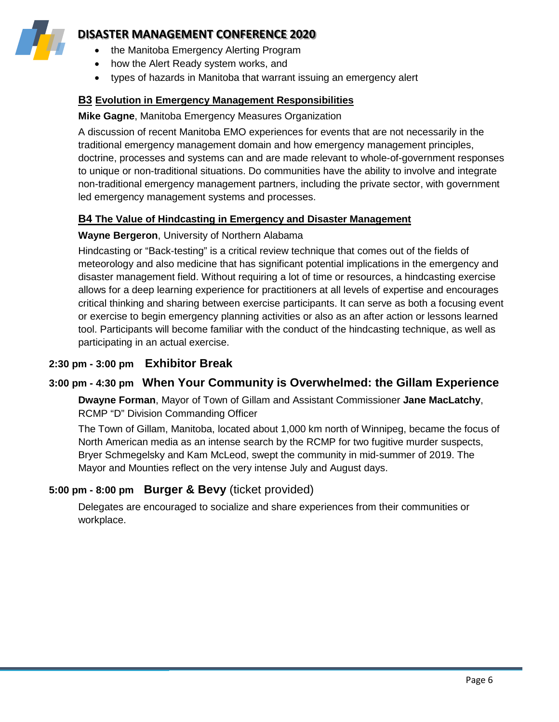

#### **DISASTER MANAGEMENT CONFERENCE 2020**

- the Manitoba Emergency Alerting Program
- how the Alert Ready system works, and
- types of hazards in Manitoba that warrant issuing an emergency alert

#### **B3 Evolution in Emergency Management Responsibilities**

#### **Mike Gagne**, Manitoba Emergency Measures Organization

A discussion of recent Manitoba EMO experiences for events that are not necessarily in the traditional emergency management domain and how emergency management principles, doctrine, processes and systems can and are made relevant to whole-of-government responses to unique or non-traditional situations. Do communities have the ability to involve and integrate non-traditional emergency management partners, including the private sector, with government led emergency management systems and processes.

#### **B4 The Value of Hindcasting in Emergency and Disaster Management**

#### **Wayne Bergeron**, University of Northern Alabama

Hindcasting or "Back-testing" is a critical review technique that comes out of the fields of meteorology and also medicine that has significant potential implications in the emergency and disaster management field. Without requiring a lot of time or resources, a hindcasting exercise allows for a deep learning experience for practitioners at all levels of expertise and encourages critical thinking and sharing between exercise participants. It can serve as both a focusing event or exercise to begin emergency planning activities or also as an after action or lessons learned tool. Participants will become familiar with the conduct of the hindcasting technique, as well as participating in an actual exercise.

#### **2:30 pm - 3:00 pm Exhibitor Break**

#### **3:00 pm - 4:30 pm When Your Community is Overwhelmed: the Gillam Experience**

**Dwayne Forman**, Mayor of Town of Gillam and Assistant Commissioner **Jane MacLatchy**, RCMP "D" Division Commanding Officer

The Town of Gillam, Manitoba, located about 1,000 km north of Winnipeg, became the focus of North American media as an intense search by the RCMP for two fugitive murder suspects, Bryer Schmegelsky and Kam McLeod, swept the community in mid-summer of 2019. The Mayor and Mounties reflect on the very intense July and August days.

#### **5:00 pm - 8:00 pm Burger & Bevy** (ticket provided)

Delegates are encouraged to socialize and share experiences from their communities or workplace.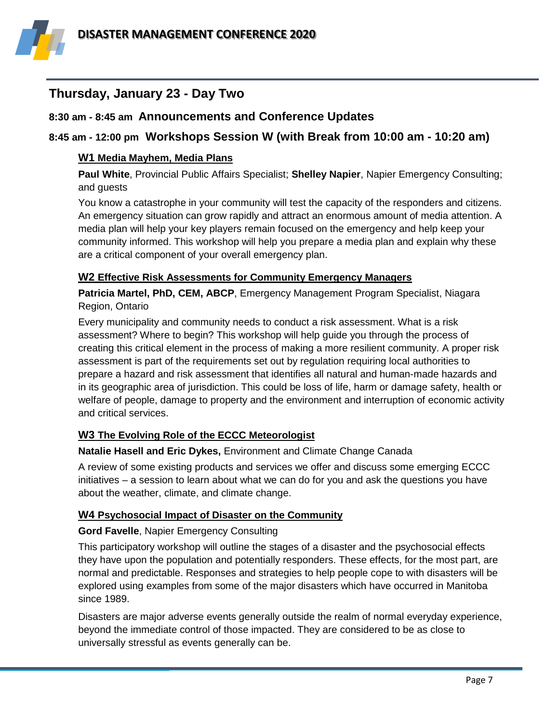

#### **Thursday, January 23 - Day Two**

#### **8:30 am - 8:45 am Announcements and Conference Updates**

#### **8:45 am - 12:00 pm Workshops Session W (with Break from 10:00 am - 10:20 am)**

#### **W1 Media Mayhem, Media Plans**

**Paul White**, Provincial Public Affairs Specialist; **Shelley Napier**, Napier Emergency Consulting; and guests

You know a catastrophe in your community will test the capacity of the responders and citizens. An emergency situation can grow rapidly and attract an enormous amount of media attention. A media plan will help your key players remain focused on the emergency and help keep your community informed. This workshop will help you prepare a media plan and explain why these are a critical component of your overall emergency plan.

#### **W2 Effective Risk Assessments for Community Emergency Managers**

**Patricia Martel, PhD, CEM, ABCP**, Emergency Management Program Specialist, Niagara Region, Ontario

Every municipality and community needs to conduct a risk assessment. What is a risk assessment? Where to begin? This workshop will help guide you through the process of creating this critical element in the process of making a more resilient community. A proper risk assessment is part of the requirements set out by regulation requiring local authorities to prepare a hazard and risk assessment that identifies all natural and human-made hazards and in its geographic area of jurisdiction. This could be loss of life, harm or damage safety, health or welfare of people, damage to property and the environment and interruption of economic activity and critical services.

#### **W3 The Evolving Role of the ECCC Meteorologist**

#### **Natalie Hasell and Eric Dykes,** Environment and Climate Change Canada

A review of some existing products and services we offer and discuss some emerging ECCC initiatives – a session to learn about what we can do for you and ask the questions you have about the weather, climate, and climate change.

#### **W4 Psychosocial Impact of Disaster on the Community**

#### **Gord Favelle**, Napier Emergency Consulting

This participatory workshop will outline the stages of a disaster and the psychosocial effects they have upon the population and potentially responders. These effects, for the most part, are normal and predictable. Responses and strategies to help people cope to with disasters will be explored using examples from some of the major disasters which have occurred in Manitoba since 1989.

Disasters are major adverse events generally outside the realm of normal everyday experience, beyond the immediate control of those impacted. They are considered to be as close to universally stressful as events generally can be.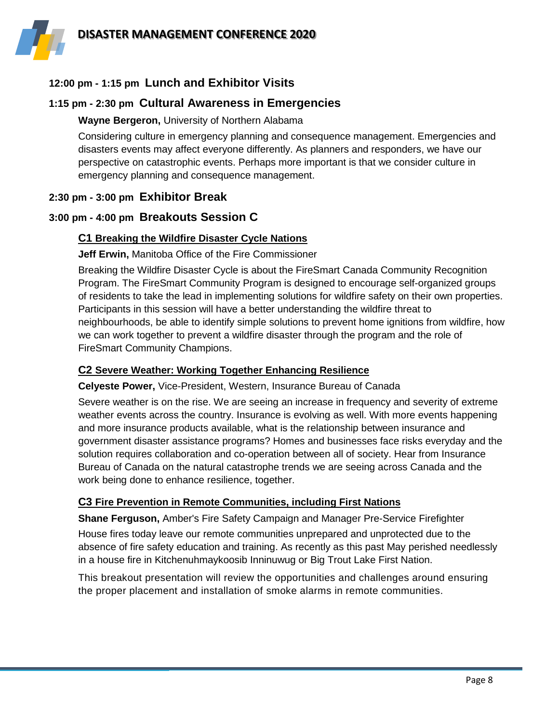

#### **12:00 pm - 1:15 pm Lunch and Exhibitor Visits**

#### **1:15 pm - 2:30 pm Cultural Awareness in Emergencies**

#### **Wayne Bergeron,** University of Northern Alabama

Considering culture in emergency planning and consequence management. Emergencies and disasters events may affect everyone differently. As planners and responders, we have our perspective on catastrophic events. Perhaps more important is that we consider culture in emergency planning and consequence management.

#### **2:30 pm - 3:00 pm Exhibitor Break**

#### **3:00 pm - 4:00 pm Breakouts Session C**

#### **C1 Breaking the Wildfire Disaster Cycle Nations**

**Jeff Erwin,** Manitoba Office of the Fire Commissioner

Breaking the Wildfire Disaster Cycle is about the FireSmart Canada Community Recognition Program. The FireSmart Community Program is designed to encourage self-organized groups of residents to take the lead in implementing solutions for wildfire safety on their own properties. Participants in this session will have a better understanding the wildfire threat to neighbourhoods, be able to identify simple solutions to prevent home ignitions from wildfire, how we can work together to prevent a wildfire disaster through the program and the role of FireSmart Community Champions.

#### **C2 Severe Weather: Working Together Enhancing Resilience**

**Celyeste Power,** Vice-President, Western, Insurance Bureau of Canada

Severe weather is on the rise. We are seeing an increase in frequency and severity of extreme weather events across the country. Insurance is evolving as well. With more events happening and more insurance products available, what is the relationship between insurance and government disaster assistance programs? Homes and businesses face risks everyday and the solution requires collaboration and co-operation between all of society. Hear from Insurance Bureau of Canada on the natural catastrophe trends we are seeing across Canada and the work being done to enhance resilience, together.

#### **C3 Fire Prevention in Remote Communities, including First Nations**

**Shane Ferguson,** Amber's Fire Safety Campaign and Manager Pre-Service Firefighter

House fires today leave our remote communities unprepared and unprotected due to the absence of fire safety education and training. As recently as this past May perished needlessly in a house fire in Kitchenuhmaykoosib Inninuwug or Big Trout Lake First Nation.

This breakout presentation will review the opportunities and challenges around ensuring the proper placement and installation of smoke alarms in remote communities.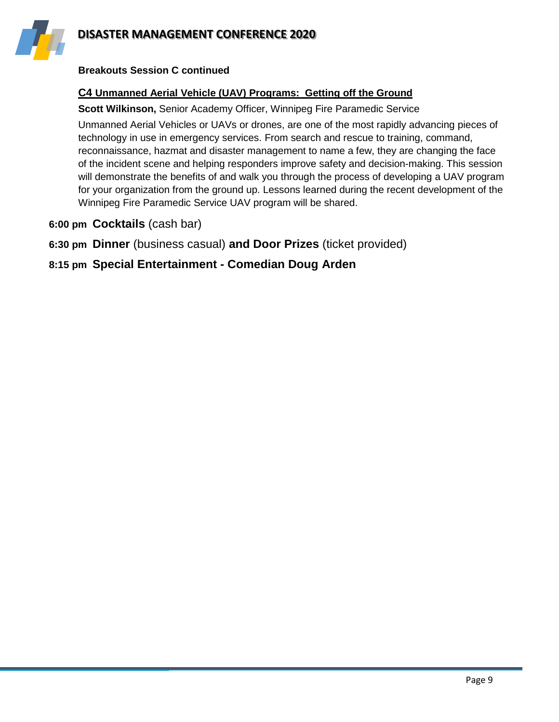



#### **Breakouts Session C continued**

#### **C4 Unmanned Aerial Vehicle (UAV) Programs: Getting off the Ground**

**Scott Wilkinson,** Senior Academy Officer, Winnipeg Fire Paramedic Service

Unmanned Aerial Vehicles or UAVs or drones, are one of the most rapidly advancing pieces of technology in use in emergency services. From search and rescue to training, command, reconnaissance, hazmat and disaster management to name a few, they are changing the face of the incident scene and helping responders improve safety and decision-making. This session will demonstrate the benefits of and walk you through the process of developing a UAV program for your organization from the ground up. Lessons learned during the recent development of the Winnipeg Fire Paramedic Service UAV program will be shared.

- **6:00 pm Cocktails** (cash bar)
- **6:30 pm Dinner** (business casual) **and Door Prizes** (ticket provided)

#### **8:15 pm Special Entertainment - Comedian Doug Arden**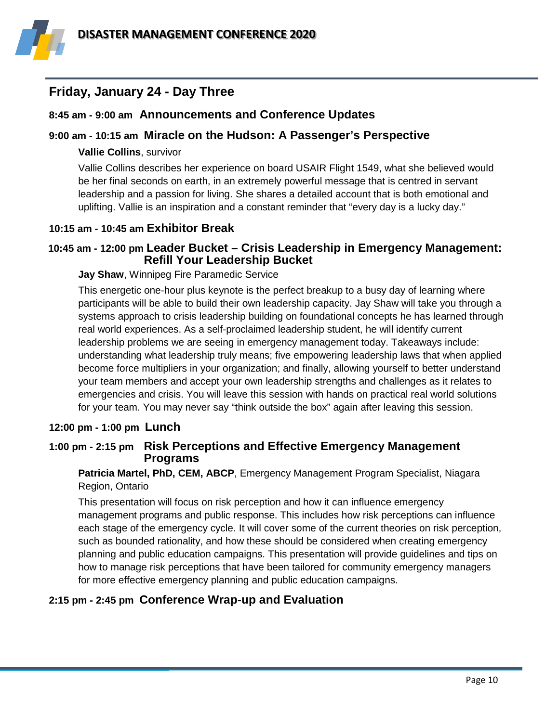

#### **Friday, January 24 - Day Three**

#### **8:45 am - 9:00 am Announcements and Conference Updates**

#### **9:00 am - 10:15 am Miracle on the Hudson: A Passenger's Perspective**

#### **Vallie Collins**, survivor

Vallie Collins describes her experience on board USAIR Flight 1549, what she believed would be her final seconds on earth, in an extremely powerful message that is centred in servant leadership and a passion for living. She shares a detailed account that is both emotional and uplifting. Vallie is an inspiration and a constant reminder that "every day is a lucky day."

#### **10:15 am - 10:45 am Exhibitor Break**

#### **10:45 am - 12:00 pm Leader Bucket – Crisis Leadership in Emergency Management: Refill Your Leadership Bucket**

#### **Jay Shaw**, Winnipeg Fire Paramedic Service

This energetic one-hour plus keynote is the perfect breakup to a busy day of learning where participants will be able to build their own leadership capacity. Jay Shaw will take you through a systems approach to crisis leadership building on foundational concepts he has learned through real world experiences. As a self-proclaimed leadership student, he will identify current leadership problems we are seeing in emergency management today. Takeaways include: understanding what leadership truly means; five empowering leadership laws that when applied become force multipliers in your organization; and finally, allowing yourself to better understand your team members and accept your own leadership strengths and challenges as it relates to emergencies and crisis. You will leave this session with hands on practical real world solutions for your team. You may never say "think outside the box" again after leaving this session.

#### **12:00 pm - 1:00 pm Lunch**

#### **1:00 pm - 2:15 pm Risk Perceptions and Effective Emergency Management Programs**

**Patricia Martel, PhD, CEM, ABCP**, Emergency Management Program Specialist, Niagara Region, Ontario

This presentation will focus on risk perception and how it can influence emergency management programs and public response. This includes how risk perceptions can influence each stage of the emergency cycle. It will cover some of the current theories on risk perception, such as bounded rationality, and how these should be considered when creating emergency planning and public education campaigns. This presentation will provide guidelines and tips on how to manage risk perceptions that have been tailored for community emergency managers for more effective emergency planning and public education campaigns.

#### **2:15 pm - 2:45 pm Conference Wrap-up and Evaluation**